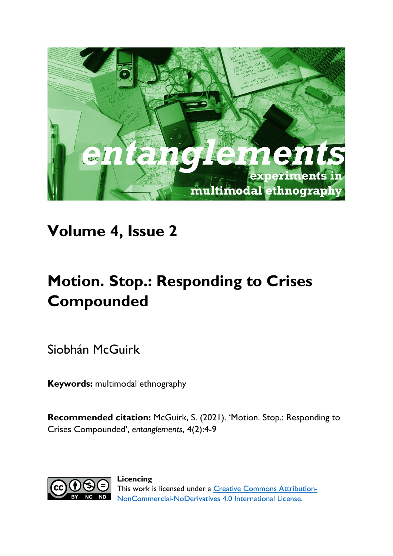

## **Volume 4, Issue 2**

# **Motion. Stop.: Responding to Crises Compounded**

Siobhán McGuirk

**Keywords:** multimodal ethnography

**Recommended citation:** McGuirk, S. (2021). 'Motion. Stop.: Responding to Crises Compounded', *entanglements*, 4(2):4-9



**Licencing** This work is licensed under a [Creative Commons Attribution-](https://creativecommons.org/licenses/by-nc-nd/4.0/)[NonCommercial-NoDerivatives 4.0 International License.](https://creativecommons.org/licenses/by-nc-nd/4.0/)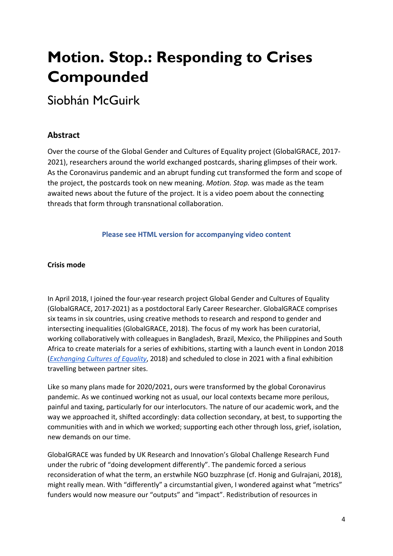# **Motion. Stop.: Responding to Crises Compounded**

### Siobhán McGuirk

### **Abstract**

Over the course of the Global Gender and Cultures of Equality project (GlobalGRACE, 2017- 2021), researchers around the world exchanged postcards, sharing glimpses of their work. As the Coronavirus pandemic and an abrupt funding cut transformed the form and scope of the project, the postcards took on new meaning. *Motion. Stop.* was made as the team awaited news about the future of the project. It is a video poem about the connecting threads that form through transnational collaboration.

#### **Please see HTML version for accompanying video content**

#### **Crisis mode**

In April 2018, I joined the four-year research project Global Gender and Cultures of Equality (GlobalGRACE, 2017-2021) as a postdoctoral Early Career Researcher. GlobalGRACE comprises six teams in six countries, using creative methods to research and respond to gender and intersecting inequalities (GlobalGRACE, 2018). The focus of my work has been curatorial, working collaboratively with colleagues in Bangladesh, Brazil, Mexico, the Philippines and South Africa to create materials for a series of exhibitions, starting with a launch event in London 2018 (*[Exchanging Cultures of Equality](https://culturesofequality.com/)*, 2018) and scheduled to close in 2021 with a final exhibition travelling between partner sites.

Like so many plans made for 2020/2021, ours were transformed by the global Coronavirus pandemic. As we continued working not as usual, our local contexts became more perilous, painful and taxing, particularly for our interlocutors. The nature of our academic work, and the way we approached it, shifted accordingly: data collection secondary, at best, to supporting the communities with and in which we worked; supporting each other through loss, grief, isolation, new demands on our time.

GlobalGRACE was funded by UK Research and Innovation's Global Challenge Research Fund under the rubric of "doing development differently". The pandemic forced a serious reconsideration of what the term, an erstwhile NGO buzzphrase (cf. Honig and Gulrajani, 2018), might really mean. With "differently" a circumstantial given, I wondered against what "metrics" funders would now measure our "outputs" and "impact". Redistribution of resources in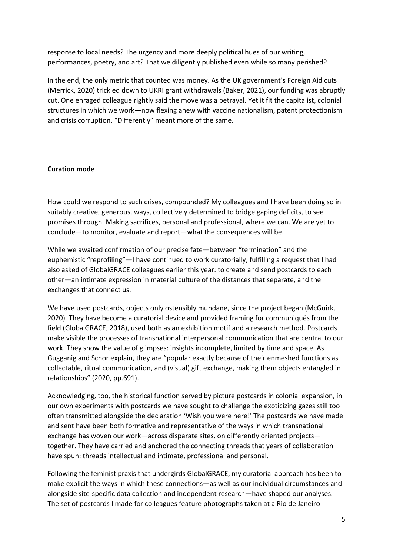response to local needs? The urgency and more deeply political hues of our writing, performances, poetry, and art? That we diligently published even while so many perished?

In the end, the only metric that counted was money. As the UK government's Foreign Aid cuts (Merrick, 2020) trickled down to UKRI grant withdrawals (Baker, 2021), our funding was abruptly cut. One enraged colleague rightly said the move was a betrayal. Yet it fit the capitalist, colonial structures in which we work—now flexing anew with vaccine nationalism, patent protectionism and crisis corruption. "Differently" meant more of the same.

#### **Curation mode**

How could we respond to such crises, compounded? My colleagues and I have been doing so in suitably creative, generous, ways, collectively determined to bridge gaping deficits, to see promises through. Making sacrifices, personal and professional, where we can. We are yet to conclude—to monitor, evaluate and report—what the consequences will be.

While we awaited confirmation of our precise fate—between "termination" and the euphemistic "reprofiling"—I have continued to work curatorially, fulfilling a request that I had also asked of GlobalGRACE colleagues earlier this year: to create and send postcards to each other—an intimate expression in material culture of the distances that separate, and the exchanges that connect us.

We have used postcards, objects only ostensibly mundane, since the project began (McGuirk, 2020). They have become a curatorial device and provided framing for communiqués from the field (GlobalGRACE, 2018), used both as an exhibition motif and a research method. Postcards make visible the processes of transnational interpersonal communication that are central to our work. They show the value of glimpses: insights incomplete, limited by time and space. As Gugganig and Schor explain, they are "popular exactly because of their enmeshed functions as collectable, ritual communication, and (visual) gift exchange, making them objects entangled in relationships" (2020, pp.691).

Acknowledging, too, the historical function served by picture postcards in colonial expansion, in our own experiments with postcards we have sought to challenge the exoticizing gazes still too often transmitted alongside the declaration 'Wish you were here!' The postcards we have made and sent have been both formative and representative of the ways in which transnational exchange has woven our work—across disparate sites, on differently oriented projects together. They have carried and anchored the connecting threads that years of collaboration have spun: threads intellectual and intimate, professional and personal.

Following the feminist praxis that undergirds GlobalGRACE, my curatorial approach has been to make explicit the ways in which these connections—as well as our individual circumstances and alongside site-specific data collection and independent research—have shaped our analyses. The set of postcards I made for colleagues feature photographs taken at a Rio de Janeiro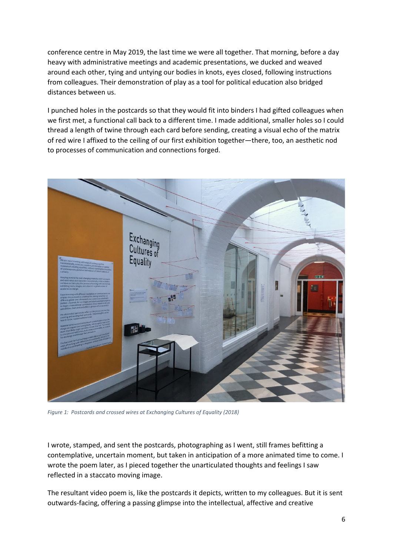conference centre in May 2019, the last time we were all together. That morning, before a day heavy with administrative meetings and academic presentations, we ducked and weaved around each other, tying and untying our bodies in knots, eyes closed, following instructions from colleagues. Their demonstration of play as a tool for political education also bridged distances between us.

I punched holes in the postcards so that they would fit into binders I had gifted colleagues when we first met, a functional call back to a different time. I made additional, smaller holes so I could thread a length of twine through each card before sending, creating a visual echo of the matrix of red wire I affixed to the ceiling of our first exhibition together—there, too, an aesthetic nod to processes of communication and connections forged.



*Figure 1: Postcards and crossed wires at Exchanging Cultures of Equality (2018)*

I wrote, stamped, and sent the postcards, photographing as I went, still frames befitting a contemplative, uncertain moment, but taken in anticipation of a more animated time to come. I wrote the poem later, as I pieced together the unarticulated thoughts and feelings I saw reflected in a staccato moving image.

The resultant video poem is, like the postcards it depicts, written to my colleagues. But it is sent outwards-facing, offering a passing glimpse into the intellectual, affective and creative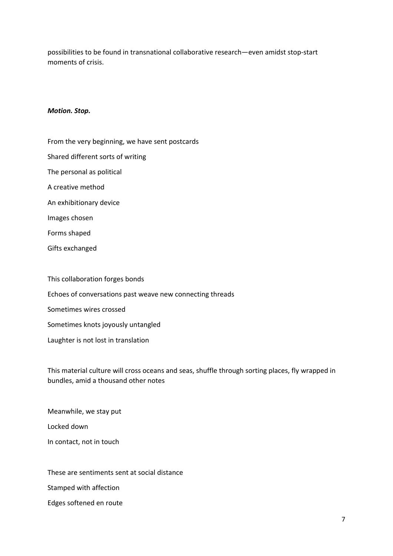possibilities to be found in transnational collaborative research—even amidst stop-start moments of crisis.

#### *Motion. Stop.*

- From the very beginning, we have sent postcards Shared different sorts of writing The personal as political A creative method An exhibitionary device Images chosen Forms shaped Gifts exchanged This collaboration forges bonds
- Echoes of conversations past weave new connecting threads Sometimes wires crossed Sometimes knots joyously untangled Laughter is not lost in translation

This material culture will cross oceans and seas, shuffle through sorting places, fly wrapped in bundles, amid a thousand other notes

Meanwhile, we stay put Locked down In contact, not in touch

These are sentiments sent at social distance Stamped with affection Edges softened en route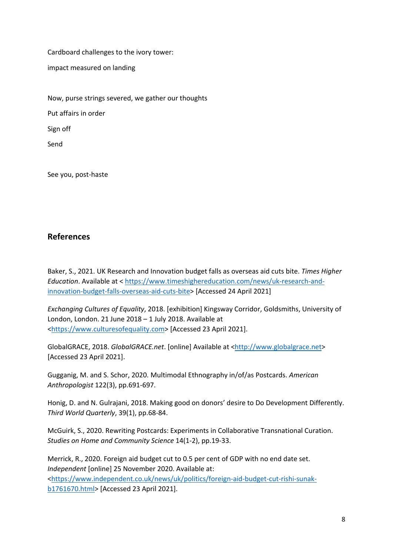Cardboard challenges to the ivory tower:

impact measured on landing

Now, purse strings severed, we gather our thoughts Put affairs in order Sign off Send

See you, post-haste

### **References**

Baker, S., 2021. UK Research and Innovation budget falls as overseas aid cuts bite. *Times Higher Education*. Available at < [https://www.timeshighereducation.com/news/uk-research-and](https://www.timeshighereducation.com/news/uk-research-and-innovation-budget-falls-overseas-aid-cuts-bite)[innovation-budget-falls-overseas-aid-cuts-bite>](https://www.timeshighereducation.com/news/uk-research-and-innovation-budget-falls-overseas-aid-cuts-bite) [Accessed 24 April 2021]

*Exchanging Cultures of Equality*, 2018. [exhibition] Kingsway Corridor, Goldsmiths, University of London, London. 21 June 2018 – 1 July 2018. Available at [<https://www.culturesofequality.com>](https://www.culturesofequality.com/) [Accessed 23 April 2021].

GlobalGRACE, 2018. *GlobalGRACE.net*. [online] Available at [<http://www.globalgrace.net>](http://www.globalgrace.net/) [Accessed 23 April 2021].

Gugganig, M. and S. Schor, 2020. Multimodal Ethnography in/of/as Postcards. *American Anthropologist* 122(3), pp.691-697.

Honig, D. and N. Gulrajani, 2018. Making good on donors' desire to Do Development Differently. *Third World Quarterly*, 39(1), pp.68-84.

McGuirk, S., 2020. Rewriting Postcards: Experiments in Collaborative Transnational Curation. *Studies on Home and Community Science* 14(1-2), pp.19-33.

Merrick, R., 2020. Foreign aid budget cut to 0.5 per cent of GDP with no end date set. *Independent* [online] 25 November 2020. Available at:

[<https://www.independent.co.uk/news/uk/politics/foreign-aid-budget-cut-rishi-sunak](https://www.independent.co.uk/news/uk/politics/foreign-aid-budget-cut-rishi-sunak-b1761670.html)[b1761670.html>](https://www.independent.co.uk/news/uk/politics/foreign-aid-budget-cut-rishi-sunak-b1761670.html) [Accessed 23 April 2021].